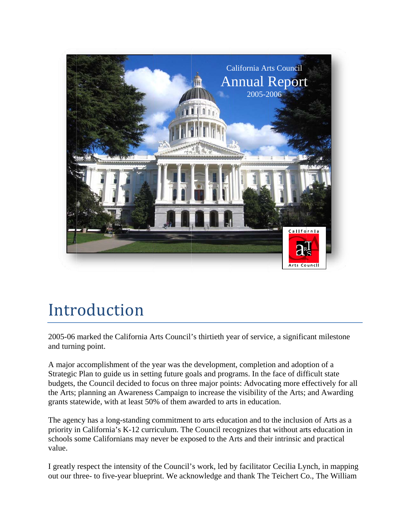

## Introduction

2005-06 marked the California Arts Council's thirtieth year of service, a significant mileston and turning point.

A major accomplishment of the year was the development, completion and adoption of a Strategic Plan to guide us in setting future goals and programs. In the face of difficult state budgets, the Council decided to focus on three major points: Advocating more effectively for all the Arts; planning an Awareness Campaign to increase the visibility of the Arts; and Awarding grants statewide, with at least 50% of them awarded to arts in education.

The agency has a long-standing commitment to arts education and to the inclusion of Arts as a priority in California's K-12 curriculum. The Council recognizes that without arts education in schools some Californians may never be exposed to the Arts and their intrinsic and practical value.

I greatly respect the intensity of the Council's work, led by facilitator Cecilia Lynch, in mapping out our three- to five-year blueprint. We acknowledge and thank The Teichert Co., The William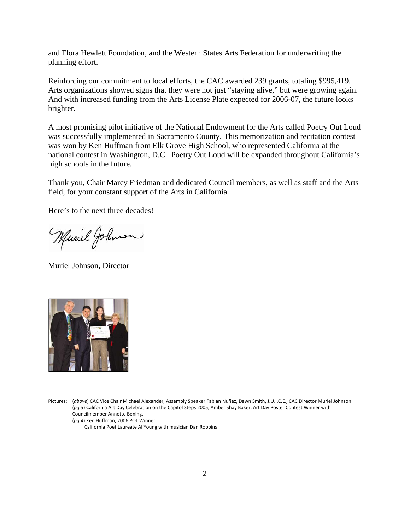and Flora Hewlett Foundation, and the Western States Arts Federation for underwriting the planning effort.

Reinforcing our commitment to local efforts, the CAC awarded 239 grants, totaling \$995,419. Arts organizations showed signs that they were not just "staying alive," but were growing again. And with increased funding from the Arts License Plate expected for 2006-07, the future looks brighter.

A most promising pilot initiative of the National Endowment for the Arts called Poetry Out Loud was successfully implemented in Sacramento County. This memorization and recitation contest was won by Ken Huffman from Elk Grove High School, who represented California at the national contest in Washington, D.C. Poetry Out Loud will be expanded throughout California's high schools in the future.

Thank you, Chair Marcy Friedman and dedicated Council members, as well as staff and the Arts field, for your constant support of the Arts in California.

Here's to the next three decades!

Where Johnson

Muriel Johnson, Director



Pictures: (*above*) CAC Vice Chair Michael Alexander, Assembly Speaker Fabian Nuñez, Dawn Smith, J.U.I.C.E., CAC Director Muriel Johnson (*pg.3*) California Art Day Celebration on the Capitol Steps 2005, Amber Shay Baker, Art Day Poster Contest Winner with Councilmember Annette Bening. (*pg.4*) Ken Huffman, 2006 POL Winner

California Poet Laureate Al Young with musician Dan Robbins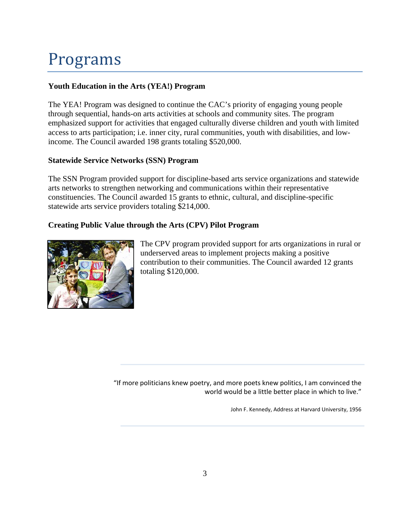# Programs

### **Youth Education in the Arts (YEA!) Program**

The YEA! Program was designed to continue the CAC's priority of engaging young people through sequential, hands-on arts activities at schools and community sites. The program emphasized support for activities that engaged culturally diverse children and youth with limited access to arts participation; i.e. inner city, rural communities, youth with disabilities, and lowincome. The Council awarded 198 grants totaling \$520,000.

#### **Statewide Service Networks (SSN) Program**

The SSN Program provided support for discipline-based arts service organizations and statewide arts networks to strengthen networking and communications within their representative constituencies. The Council awarded 15 grants to ethnic, cultural, and discipline-specific statewide arts service providers totaling \$214,000.

### **Creating Public Value through the Arts (CPV) Pilot Program**



The CPV program provided support for arts organizations in rural or underserved areas to implement projects making a positive contribution to their communities. The Council awarded 12 grants totaling \$120,000.

"If more politicians knew poetry, and more poets knew politics, I am convinced the world would be a little better place in which to live."

John F. Kennedy, Address at Harvard University, 1956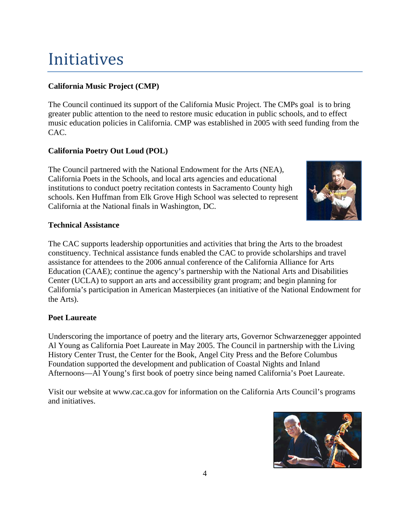## Initiatives

## **California Music Project (CMP)**

The Council continued its support of the California Music Project. The CMPs goal is to bring greater public attention to the need to restore music education in public schools, and to effect music education policies in California. CMP was established in 2005 with seed funding from the CAC.

## **California Poetry Out Loud (POL)**

The Council partnered with the National Endowment for the Arts (NEA), California Poets in the Schools, and local arts agencies and educational institutions to conduct poetry recitation contests in Sacramento County high schools. Ken Huffman from Elk Grove High School was selected to represent California at the National finals in Washington, DC.



### **Technical Assistance**

The CAC supports leadership opportunities and activities that bring the Arts to the broadest constituency. Technical assistance funds enabled the CAC to provide scholarships and travel assistance for attendees to the 2006 annual conference of the California Alliance for Arts Education (CAAE); continue the agency's partnership with the National Arts and Disabilities Center (UCLA) to support an arts and accessibility grant program; and begin planning for California's participation in American Masterpieces (an initiative of the National Endowment for the Arts).

#### **Poet Laureate**

Underscoring the importance of poetry and the literary arts, Governor Schwarzenegger appointed Al Young as California Poet Laureate in May 2005. The Council in partnership with the Living History Center Trust, the Center for the Book, Angel City Press and the Before Columbus Foundation supported the development and publication of Coastal Nights and Inland Afternoons—Al Young's first book of poetry since being named California's Poet Laureate.

Visit our website at www.cac.ca.gov for information on the California Arts Council's programs and initiatives.

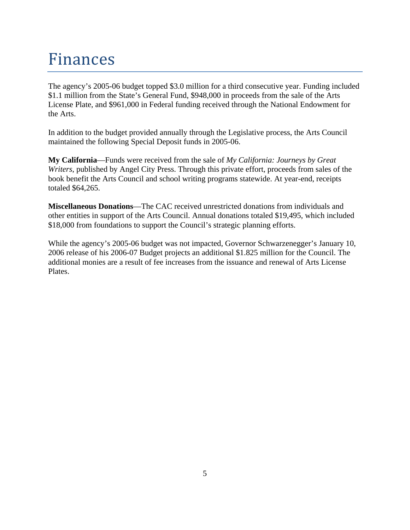## Finances

The agency's 2005-06 budget topped \$3.0 million for a third consecutive year. Funding included \$1.1 million from the State's General Fund, \$948,000 in proceeds from the sale of the Arts License Plate, and \$961,000 in Federal funding received through the National Endowment for the Arts.

In addition to the budget provided annually through the Legislative process, the Arts Council maintained the following Special Deposit funds in 2005-06.

**My California**—Funds were received from the sale of *My California: Journeys by Great Writers*, published by Angel City Press. Through this private effort, proceeds from sales of the book benefit the Arts Council and school writing programs statewide. At year-end, receipts totaled \$64,265.

**Miscellaneous Donations**—The CAC received unrestricted donations from individuals and other entities in support of the Arts Council. Annual donations totaled \$19,495, which included \$18,000 from foundations to support the Council's strategic planning efforts.

While the agency's 2005-06 budget was not impacted, Governor Schwarzenegger's January 10, 2006 release of his 2006-07 Budget projects an additional \$1.825 million for the Council. The additional monies are a result of fee increases from the issuance and renewal of Arts License Plates.